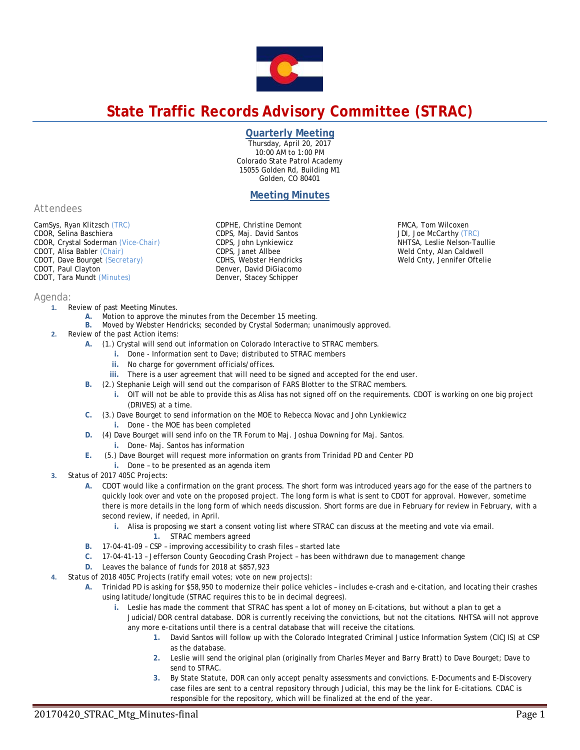

# **State Traffic Records Advisory Committee (STRAC)**

## **Quarterly Meeting**

Thursday, April 20, 2017 10:00 AM to 1:00 PM Colorado State Patrol Academy 15055 Golden Rd, Building M1 Golden, CO 80401

# **Meeting Minutes**

*Attendees*

*Agenda:* 

CamSys, Ryan Klitzsch *(TRC)*  CDOR, Selina Baschiera CDOR, Crystal Soderman *(Vice-Chair)* CDOT, Alisa Babler *(Chair)* CDOT, Dave Bourget *(Secretary)* CDOT, Paul Clayton CDOT, Tara Mundt *(Minutes)*

CDPHE, Christine Demont CDPS, Maj. David Santos CDPS, John Lynkiewicz CDPS, Janet Allbee CDHS, Webster Hendricks Denver, David DiGiacomo Denver, Stacey Schipper

FMCA, Tom Wilcoxen JDI, Joe McCarthy *(TRC)*  NHTSA, Leslie Nelson-Taullie Weld Cnty, Alan Caldwell Weld Cnty, Jennifer Oftelie

- **1.** Review of past Meeting Minutes. **A.** Motion to approve the minutes from the December 15 meeting.
	- **B.** Moved by Webster Hendricks; seconded by Crystal Soderman; unanimously approved.
- **2.** Review of the past Action items:
	- **A.** (1.) Crystal will send out information on Colorado Interactive to STRAC members.
		- **i.** Done Information sent to Dave; distributed to STRAC members
		- **ii.** No charge for government officials/offices.
		- **iii.** There is a user agreement that will need to be signed and accepted for the end user.
	- **B.** (2.) Stephanie Leigh will send out the comparison of FARS Blotter to the STRAC members.
		- **i.** OIT will not be able to provide this as Alisa has not signed off on the requirements. CDOT is working on one big project (DRIVES) at a time.
	- **C.** (3.) Dave Bourget to send information on the MOE to Rebecca Novac and John Lynkiewicz
		- **i.** Done the MOE has been completed
	- **D.** (4) Dave Bourget will send info on the TR Forum to Maj. Joshua Downing for Maj. Santos. **i.** Done- Maj. Santos has information
	- **E.** (5.) Dave Bourget will request more information on grants from Trinidad PD and Center PD
	- **i.** Done to be presented as an agenda item
- **3.** Status of 2017 405C Projects:
	- **A.** CDOT would like a confirmation on the grant process. The short form was introduced years ago for the ease of the partners to quickly look over and vote on the proposed project. The long form is what is sent to CDOT for approval. However, sometime there is more details in the long form of which needs discussion. Short forms are due in February for review in February, with a second review, if needed, in April.
		- **i.** Alisa is proposing we start a consent voting list where STRAC can discuss at the meeting and vote via email.
			- **1.** STRAC members agreed
	- **B.** 17-04-41-09 CSP improving accessibility to crash files started late
	- **C.** 17-04-41-13 Jefferson County Geocoding Crash Project has been withdrawn due to management change
	- **D.** Leaves the balance of funds for 2018 at \$857,923
- **4.** Status of 2018 405C Projects (ratify email votes; vote on new projects):
	- **A.** Trinidad PD is asking for \$58,950 to modernize their police vehicles includes e-crash and e-citation, and locating their crashes using latitude/longitude (STRAC requires this to be in decimal degrees).
		- **i.** Leslie has made the comment that STRAC has spent a lot of money on E-citations, but without a plan to get a Judicial/DOR central database. DOR is currently receiving the convictions, but not the citations. NHTSA will not approve any more e-citations until there is a central database that will receive the citations.
			- **1.** David Santos will follow up with the Colorado Integrated Criminal Justice Information System (CICJIS) at CSP as the database.
			- **2.** Leslie will send the original plan (originally from Charles Meyer and Barry Bratt) to Dave Bourget; Dave to send to STRAC.
			- **3.** By State Statute, DOR can only accept penalty assessments and convictions. E-Documents and E-Discovery case files are sent to a central repository through Judicial, this may be the link for E-citations. CDAC is responsible for the repository, which will be finalized at the end of the year.

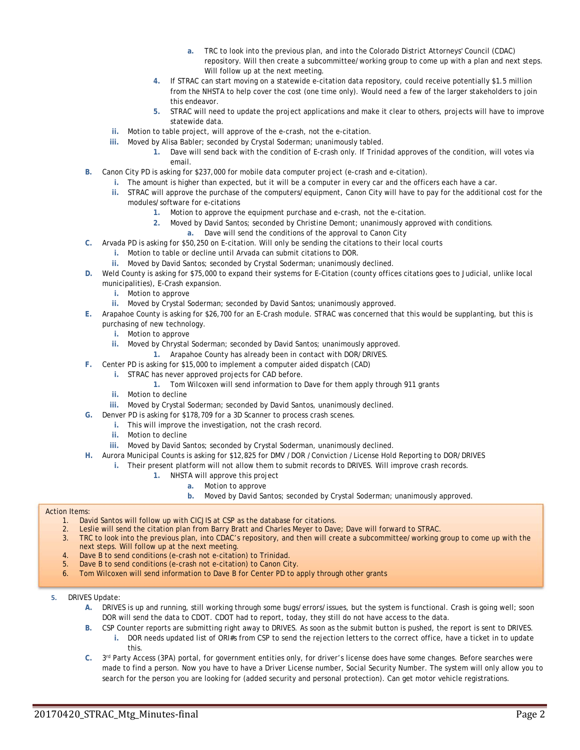- **a.** TRC to look into the previous plan, and into the Colorado District Attorneys' Council (CDAC) repository. Will then create a subcommittee/working group to come up with a plan and next steps. Will follow up at the next meeting.
- **4.** If STRAC can start moving on a statewide e-citation data repository, could receive potentially \$1.5 million from the NHSTA to help cover the cost (one time only). Would need a few of the larger stakeholders to join this endeavor.
- **5.** STRAC will need to update the project applications and make it clear to others, projects will have to improve statewide data.
- **ii.** Motion to table project, will approve of the e-crash, not the e-citation.
- **iii.** Moved by Alisa Babler; seconded by Crystal Soderman; unanimously tabled.
	- **1.** Dave will send back with the condition of E-crash only. If Trinidad approves of the condition, will votes via email.
- **B.** Canon City PD is asking for \$237,000 for mobile data computer project (e-crash and e-citation).
	- **i.** The amount is higher than expected, but it will be a computer in every car and the officers each have a car.
		- **ii.** STRAC will approve the purchase of the computers/equipment, Canon City will have to pay for the additional cost for the modules/software for e-citations
			- **1.** Motion to approve the equipment purchase and e-crash, not the e-citation.
			- **2.** Moved by David Santos; seconded by Christine Demont; unanimously approved with conditions.
				- **a.** Dave will send the conditions of the approval to Canon City
- **C.** Arvada PD is asking for \$50,250 on E-citation. Will only be sending the citations to their local courts
	- **i.** Motion to table or decline until Arvada can submit citations to DOR.
	- **ii.** Moved by David Santos; seconded by Crystal Soderman; unanimously declined.
- **D.** Weld County is asking for \$75,000 to expand their systems for E-Citation (county offices citations goes to Judicial, unlike local municipalities), E-Crash expansion.
	- **i.** Motion to approve
	- **ii.** Moved by Crystal Soderman; seconded by David Santos; unanimously approved.
- **E.** Arapahoe County is asking for \$26,700 for an E-Crash module. STRAC was concerned that this would be supplanting, but this is purchasing of new technology.
	- **i.** Motion to approve
	- **ii.** Moved by Chrystal Soderman; seconded by David Santos; unanimously approved.
	- **1.** Arapahoe County has already been in contact with DOR/DRIVES.
- **F.** Center PD is asking for \$15,000 to implement a computer aided dispatch (CAD)
	- **i.** STRAC has never approved projects for CAD before.
		- **1.** Tom Wilcoxen will send information to Dave for them apply through 911 grants
	- **ii.** Motion to decline
	- **iii.** Moved by Crystal Soderman; seconded by David Santos, unanimously declined.
- **G.** Denver PD is asking for \$178,709 for a 3D Scanner to process crash scenes.
	- **i.** This will improve the investigation, not the crash record.
	- **ii.** Motion to decline
	- **iii.** Moved by David Santos; seconded by Crystal Soderman, unanimously declined.
- **H.** Aurora Municipal Counts is asking for \$12,825 for DMV /DOR /Conviction /License Hold Reporting to DOR/DRIVES
	- **i.** Their present platform will not allow them to submit records to DRIVES. Will improve crash records.
		- **1.** NHSTA will approve this project
			- **a.** Motion to approve
			- **b.** Moved by David Santos; seconded by Crystal Soderman; unanimously approved.

#### Action Items:

- 1. David Santos will follow up with CICJIS at CSP as the database for citations.<br>2. Leslie will send the citation plan from Barry Bratt and Charles Meyer to Dave
	- 2. Leslie will send the citation plan from Barry Bratt and Charles Meyer to Dave; Dave will forward to STRAC.
- 3. TRC to look into the previous plan, into CDAC's repository, and then will create a subcommittee/working group to come up with the next steps. Will follow up at the next meeting.
- 4. Dave B to send conditions (e-crash not e-citation) to Trinidad.
- Dave B to send conditions (e-crash not e-citation) to Canon City.
- 6. Tom Wilcoxen will send information to Dave B for Center PD to apply through other grants
- **5.** DRIVES Update:
	- **A.** DRIVES is up and running, still working through some bugs/errors/issues, but the system is functional. Crash is going well; soon DOR will send the data to CDOT. CDOT had to report, today, they still do not have access to the data.
	- **B.** CSP Counter reports are submitting right away to DRIVES. As soon as the submit button is pushed, the report is sent to DRIVES. **i.** DOR needs updated list of ORI#s from CSP to send the rejection letters to the correct office, have a ticket in to update this.
	- **C.** 3rd Party Access (3PA) portal, for government entities only, for driver's license does have some changes. Before searches were made to find a person. Now you have to have a Driver License number, Social Security Number. The system will only allow you to search for the person you are looking for (added security and personal protection). Can get motor vehicle registrations.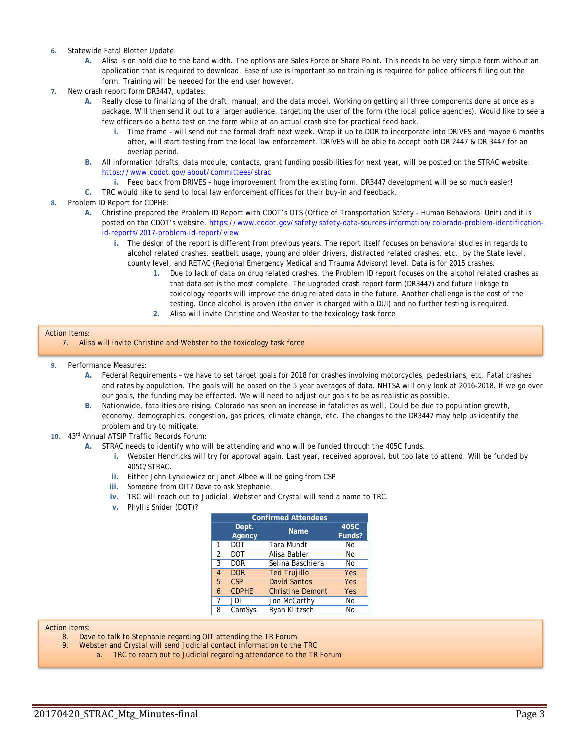- **6.** Statewide Fatal Blotter Update:
	- **A.** Alisa is on hold due to the band width. The options are Sales Force or Share Point. This needs to be very simple form without an application that is required to download. Ease of use is important so no training is required for police officers filling out the form. Training will be needed for the end user however.
- **7.** New crash report form DR3447, updates:
	- **A.** Really close to finalizing of the draft, manual, and the data model. Working on getting all three components done at once as a package. Will then send it out to a larger audience, targeting the user of the form (the local police agencies). Would like to see a few officers do a betta test on the form while at an actual crash site for practical feed back.
		- **i.** Time frame will send out the formal draft next week. Wrap it up to DOR to incorporate into DRIVES and maybe 6 months after, will start testing from the local law enforcement. DRIVES will be able to accept both DR 2447 & DR 3447 for an overlap period.
	- **B.** All information (drafts, data module, contacts, grant funding possibilities for next year, will be posted on the STRAC website: https://www.codot.gov/about/committees/strac
		- **i.** Feed back from DRIVES huge improvement from the existing form. DR3447 development will be so much easier!
	- **C.** TRC would like to send to local law enforcement offices for their buy-in and feedback.

#### **8.** Problem ID Report for CDPHE:

- **A.** Christine prepared the Problem ID Report with CDOT's OTS (Office of Transportation Safety Human Behavioral Unit) and it is posted on the CDOT's website. https://www.codot.gov/safety/safety-data-sources-information/colorado-problem-identificationid-reports/2017-problem-id-report/view
	- **i.** The design of the report is different from previous years. The report itself focuses on behavioral studies in regards to alcohol related crashes, seatbelt usage, young and older drivers, distracted related crashes, etc., by the State level, county level, and RETAC (Regional Emergency Medical and Trauma Advisory) level. Data is for 2015 crashes.
		- **1.** Due to lack of data on drug related crashes, the Problem ID report focuses on the alcohol related crashes as that data set is the most complete. The upgraded crash report form (DR3447) and future linkage to toxicology reports will improve the drug related data in the future. Another challenge is the cost of the testing. Once alcohol is proven (the driver is charged with a DUI) and no further testing is required.
		- **2.** Alisa will invite Christine and Webster to the toxicology task force

#### Action Items:

- **9.** Performance Measures:
	- **A.** Federal Requirements we have to set target goals for 2018 for crashes involving motorcycles, pedestrians, etc. Fatal crashes and rates by population. The goals will be based on the 5 year averages of data. NHTSA will only look at 2016-2018. If we go over our goals, the funding may be effected. We will need to adjust our goals to be as realistic as possible.
	- **B.** Nationwide, fatalities are rising. Colorado has seen an increase in fatalities as well. Could be due to population growth, economy, demographics, congestion, gas prices, climate change, etc. The changes to the DR3447 may help us identify the problem and try to mitigate.
- **10.** 43rd Annual ATSIP Traffic Records Forum:
	- **A.** STRAC needs to identify who will be attending and who will be funded through the 405C funds.
		- **i.** Webster Hendricks will try for approval again. Last year, received approval, but too late to attend. Will be funded by 405C/STRAC.
		- **ii.** Either John Lynkiewicz or Janet Albee will be going from CSP
		- **iii.** Someone from OIT? Dave to ask Stephanie.
		- **iv.** TRC will reach out to Judicial. Webster and Crystal will send a name to TRC.
		- **v.** Phyllis Snider (DOT)?

| <b>Confirmed Attendees</b> |                 |                         |                |  |  |  |
|----------------------------|-----------------|-------------------------|----------------|--|--|--|
|                            | Dept.<br>Agency | <b>Name</b>             | 405C<br>Funds? |  |  |  |
| 1                          | DOT             | Tara Mundt              | No             |  |  |  |
| $\overline{2}$             | DOT             | Alisa Babler            | No             |  |  |  |
| 3                          | DOR             | Selina Baschiera        | No             |  |  |  |
| 4                          | <b>DOR</b>      | <b>Ted Trujillo</b>     | Yes            |  |  |  |
| 5                          | <b>CSP</b>      | <b>David Santos</b>     | Yes            |  |  |  |
| 6                          | <b>CDPHE</b>    | <b>Christine Demont</b> | Yes            |  |  |  |
| 7                          | JDI             | Joe McCarthy            | No             |  |  |  |
| 8                          | CamSys.         | Ryan Klitzsch           | No             |  |  |  |
|                            |                 |                         |                |  |  |  |

Action Items:

- 8. Dave to talk to Stephanie regarding OIT attending the TR Forum
- 9. Webster and Crystal will send Judicial contact information to the TRC
	- a. TRC to reach out to Judicial regarding attendance to the TR Forum

<sup>7.</sup> Alisa will invite Christine and Webster to the toxicology task force